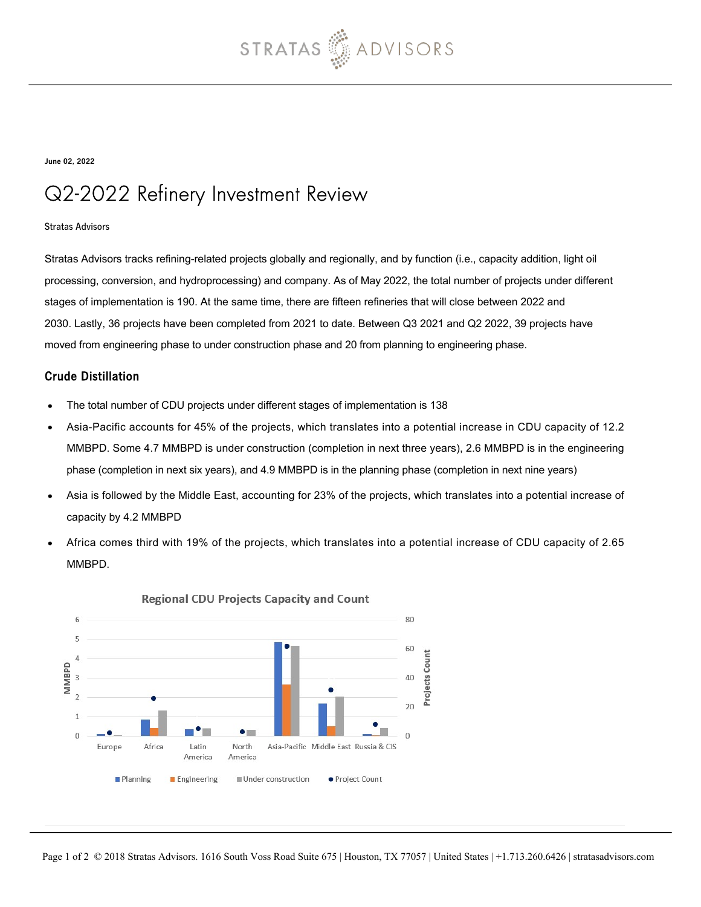

June 02, 2022

# Q2-2022 Refinery Investment Review

#### Stratas Advisors

Stratas Advisors tracks refining-related projects globally and regionally, and by function (i.e., capacity addition, light oil processing, conversion, and hydroprocessing) and company. As of May 2022, the total number of projects under different stages of implementation is 190. At the same time, there are fifteen refineries that will close between 2022 and 2030. Lastly, 36 projects have been completed from 2021 to date. Between Q3 2021 and Q2 2022, 39 projects have moved from engineering phase to under construction phase and 20 from planning to engineering phase.

### Crude Distillation

- The total number of CDU projects under different stages of implementation is 138
- Asia-Pacific accounts for 45% of the projects, which translates into a potential increase in CDU capacity of 12.2 MMBPD. Some 4.7 MMBPD is under construction (completion in next three years), 2.6 MMBPD is in the engineering phase (completion in next six years), and 4.9 MMBPD is in the planning phase (completion in next nine years)
- Asia is followed by the Middle East, accounting for 23% of the projects, which translates into a potential increase of capacity by 4.2 MMBPD
- Africa comes third with 19% of the projects, which translates into a potential increase of CDU capacity of 2.65 MMBPD.